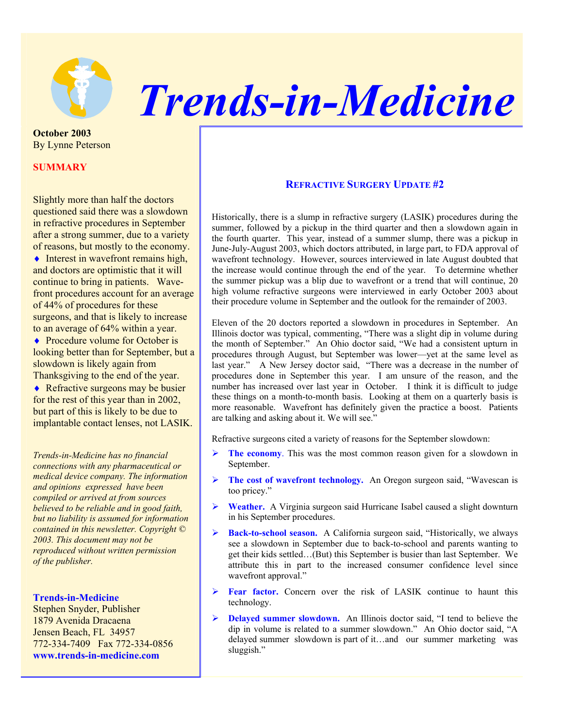

## *Trends-in-Medicine*

**October 2003**  By Lynne Peterson

## **SUMMARY**

Slightly more than half the doctors questioned said there was a slowdown in refractive procedures in September after a strong summer, due to a variety of reasons, but mostly to the economy.

 $\blacklozenge$  Interest in wavefront remains high, and doctors are optimistic that it will continue to bring in patients. Wavefront procedures account for an average of 44% of procedures for these surgeons, and that is likely to increase to an average of 64% within a year.

◆ Procedure volume for October is looking better than for September, but a slowdown is likely again from Thanksgiving to the end of the year. ◆ Refractive surgeons may be busier for the rest of this year than in 2002, but part of this is likely to be due to implantable contact lenses, not LASIK.

*Trends-in-Medicine has no financial connections with any pharmaceutical or medical device company. The information and opinions expressed have been compiled or arrived at from sources believed to be reliable and in good faith, but no liability is assumed for information contained in this newsletter. Copyright © 2003. This document may not be reproduced without written permission of the publisher.* 

## **Trends-in-Medicine**

Stephen Snyder, Publisher 1879 Avenida Dracaena Jensen Beach, FL 34957 772-334-7409 Fax 772-334-0856 **www.trends-in-medicine.com**

## **REFRACTIVE SURGERY UPDATE #2**

Historically, there is a slump in refractive surgery (LASIK) procedures during the summer, followed by a pickup in the third quarter and then a slowdown again in the fourth quarter. This year, instead of a summer slump, there was a pickup in June-July-August 2003, which doctors attributed, in large part, to FDA approval of wavefront technology. However, sources interviewed in late August doubted that the increase would continue through the end of the year. To determine whether the summer pickup was a blip due to wavefront or a trend that will continue, 20 high volume refractive surgeons were interviewed in early October 2003 about their procedure volume in September and the outlook for the remainder of 2003.

Eleven of the 20 doctors reported a slowdown in procedures in September. An Illinois doctor was typical, commenting, "There was a slight dip in volume during the month of September." An Ohio doctor said, "We had a consistent upturn in procedures through August, but September was lower—yet at the same level as last year." A New Jersey doctor said, "There was a decrease in the number of procedures done in September this year. I am unsure of the reason, and the number has increased over last year in October. I think it is difficult to judge these things on a month-to-month basis. Looking at them on a quarterly basis is more reasonable. Wavefront has definitely given the practice a boost. Patients are talking and asking about it. We will see."

Refractive surgeons cited a variety of reasons for the September slowdown:

- ¾ **The economy**. This was the most common reason given for a slowdown in September.
- ¾ **The cost of wavefront technology.** An Oregon surgeon said, "Wavescan is too pricey."
- ¾ **Weather.** A Virginia surgeon said Hurricane Isabel caused a slight downturn in his September procedures.
- ¾ **Back-to-school season.** A California surgeon said, "Historically, we always see a slowdown in September due to back-to-school and parents wanting to get their kids settled…(But) this September is busier than last September. We attribute this in part to the increased consumer confidence level since wavefront approval."
- ¾ **Fear factor.** Concern over the risk of LASIK continue to haunt this technology.
- ¾ **Delayed summer slowdown.** An Illinois doctor said, "I tend to believe the dip in volume is related to a summer slowdown." An Ohio doctor said, "A delayed summer slowdown is part of it…and our summer marketing was sluggish."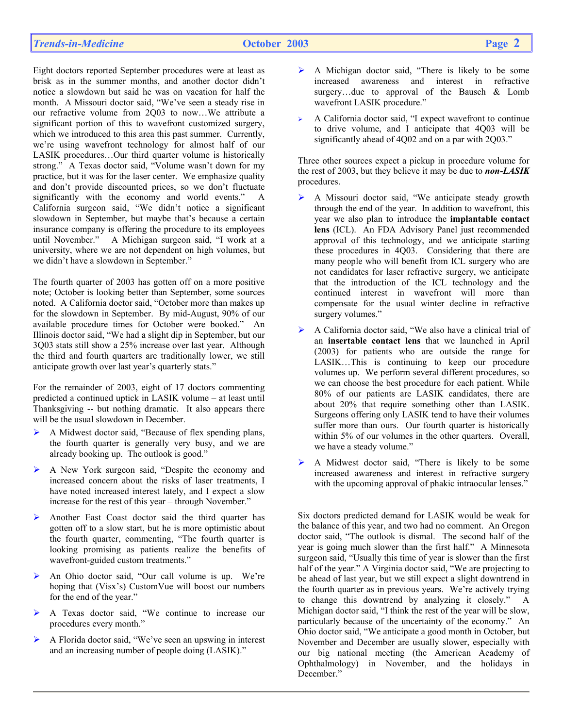Eight doctors reported September procedures were at least as brisk as in the summer months, and another doctor didn't notice a slowdown but said he was on vacation for half the month. A Missouri doctor said, "We've seen a steady rise in our refractive volume from 2Q03 to now…We attribute a significant portion of this to wavefront customized surgery, which we introduced to this area this past summer. Currently, we're using wavefront technology for almost half of our LASIK procedures…Our third quarter volume is historically strong." A Texas doctor said, "Volume wasn't down for my practice, but it was for the laser center. We emphasize quality and don't provide discounted prices, so we don't fluctuate significantly with the economy and world events." A California surgeon said, "We didn't notice a significant slowdown in September, but maybe that's because a certain insurance company is offering the procedure to its employees until November." A Michigan surgeon said, "I work at a university, where we are not dependent on high volumes, but we didn't have a slowdown in September."

The fourth quarter of 2003 has gotten off on a more positive note; October is looking better than September, some sources noted. A California doctor said, "October more than makes up for the slowdown in September. By mid-August, 90% of our available procedure times for October were booked." An Illinois doctor said, "We had a slight dip in September, but our 3Q03 stats still show a 25% increase over last year. Although the third and fourth quarters are traditionally lower, we still anticipate growth over last year's quarterly stats."

For the remainder of 2003, eight of 17 doctors commenting predicted a continued uptick in LASIK volume – at least until Thanksgiving -- but nothing dramatic. It also appears there will be the usual slowdown in December.

- ¾ A Midwest doctor said, "Because of flex spending plans, the fourth quarter is generally very busy, and we are already booking up. The outlook is good."
- ¾ A New York surgeon said, "Despite the economy and increased concern about the risks of laser treatments, I have noted increased interest lately, and I expect a slow increase for the rest of this year – through November."
- ¾ Another East Coast doctor said the third quarter has gotten off to a slow start, but he is more optimistic about the fourth quarter, commenting, "The fourth quarter is looking promising as patients realize the benefits of wavefront-guided custom treatments."
- ¾ An Ohio doctor said, "Our call volume is up. We're hoping that (Visx's) CustomVue will boost our numbers for the end of the year."
- ¾ A Texas doctor said, "We continue to increase our procedures every month."
- ¾ A Florida doctor said, "We've seen an upswing in interest and an increasing number of people doing (LASIK)."
- ¾ A Michigan doctor said, "There is likely to be some increased awareness and interest in refractive surgery…due to approval of the Bausch & Lomb wavefront LASIK procedure."
- $\triangleright$  A California doctor said, "I expect wavefront to continue to drive volume, and I anticipate that 4Q03 will be significantly ahead of 4Q02 and on a par with 2Q03."

Three other sources expect a pickup in procedure volume for the rest of 2003, but they believe it may be due to *non-LASIK*  procedures.

- ¾ A Missouri doctor said, "We anticipate steady growth through the end of the year. In addition to wavefront, this year we also plan to introduce the **implantable contact lens** (ICL). An FDA Advisory Panel just recommended approval of this technology, and we anticipate starting these procedures in 4Q03. Considering that there are many people who will benefit from ICL surgery who are not candidates for laser refractive surgery, we anticipate that the introduction of the ICL technology and the continued interest in wavefront will more than compensate for the usual winter decline in refractive surgery volumes."
- ¾ A California doctor said, "We also have a clinical trial of an **insertable contact lens** that we launched in April (2003) for patients who are outside the range for LASIK…This is continuing to keep our procedure volumes up. We perform several different procedures, so we can choose the best procedure for each patient. While 80% of our patients are LASIK candidates, there are about 20% that require something other than LASIK. Surgeons offering only LASIK tend to have their volumes suffer more than ours. Our fourth quarter is historically within 5% of our volumes in the other quarters. Overall, we have a steady volume."
- ¾ A Midwest doctor said, "There is likely to be some increased awareness and interest in refractive surgery with the upcoming approval of phakic intraocular lenses."

Six doctors predicted demand for LASIK would be weak for the balance of this year, and two had no comment. An Oregon doctor said, "The outlook is dismal. The second half of the year is going much slower than the first half." A Minnesota surgeon said, "Usually this time of year is slower than the first half of the year." A Virginia doctor said, "We are projecting to be ahead of last year, but we still expect a slight downtrend in the fourth quarter as in previous years. We're actively trying to change this downtrend by analyzing it closely." A Michigan doctor said, "I think the rest of the year will be slow, particularly because of the uncertainty of the economy." An Ohio doctor said, "We anticipate a good month in October, but November and December are usually slower, especially with our big national meeting (the American Academy of Ophthalmology) in November, and the holidays in December."